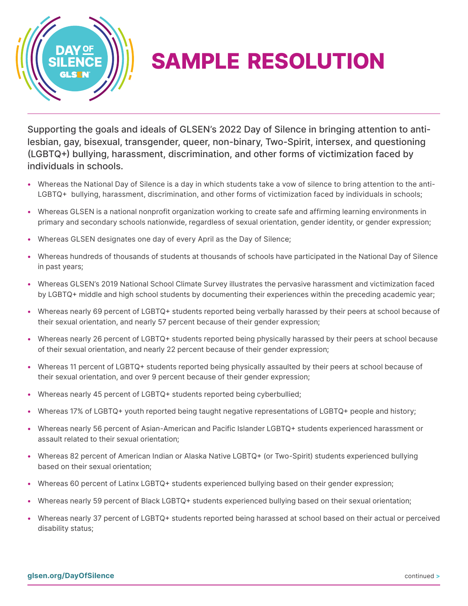

## SAMPLE RESOLUTION

Supporting the goals and ideals of GLSEN's 2022 Day of Silence in bringing attention to antilesbian, gay, bisexual, transgender, queer, non-binary, Two-Spirit, intersex, and questioning (LGBTQ+) bullying, harassment, discrimination, and other forms of victimization faced by individuals in schools.

- Whereas the National Day of Silence is a day in which students take a vow of silence to bring attention to the anti-LGBTQ+ bullying, harassment, discrimination, and other forms of victimization faced by individuals in schools;
- Whereas GLSEN is a national nonprofit organization working to create safe and affirming learning environments in primary and secondary schools nationwide, regardless of sexual orientation, gender identity, or gender expression;
- Whereas GLSEN designates one day of every April as the Day of Silence;
- Whereas hundreds of thousands of students at thousands of schools have participated in the National Day of Silence in past years;
- Whereas GLSEN's 2019 National School Climate Survey illustrates the pervasive harassment and victimization faced by LGBTQ+ middle and high school students by documenting their experiences within the preceding academic year;
- Whereas nearly 69 percent of LGBTQ+ students reported being verbally harassed by their peers at school because of their sexual orientation, and nearly 57 percent because of their gender expression;
- Whereas nearly 26 percent of LGBTQ+ students reported being physically harassed by their peers at school because of their sexual orientation, and nearly 22 percent because of their gender expression;
- Whereas 11 percent of LGBTQ+ students reported being physically assaulted by their peers at school because of their sexual orientation, and over 9 percent because of their gender expression;
- Whereas nearly 45 percent of LGBTQ+ students reported being cyberbullied;
- Whereas 17% of LGBTQ+ youth reported being taught negative representations of LGBTQ+ people and history;
- Whereas nearly 56 percent of Asian-American and Pacific Islander LGBTQ+ students experienced harassment or assault related to their sexual orientation;
- Whereas 82 percent of American Indian or Alaska Native LGBTQ+ (or Two-Spirit) students experienced bullying based on their sexual orientation;
- Whereas 60 percent of Latinx LGBTQ+ students experienced bullying based on their gender expression;
- Whereas nearly 59 percent of Black LGBTQ+ students experienced bullying based on their sexual orientation;
- Whereas nearly 37 percent of LGBTQ+ students reported being harassed at school based on their actual or perceived disability status;